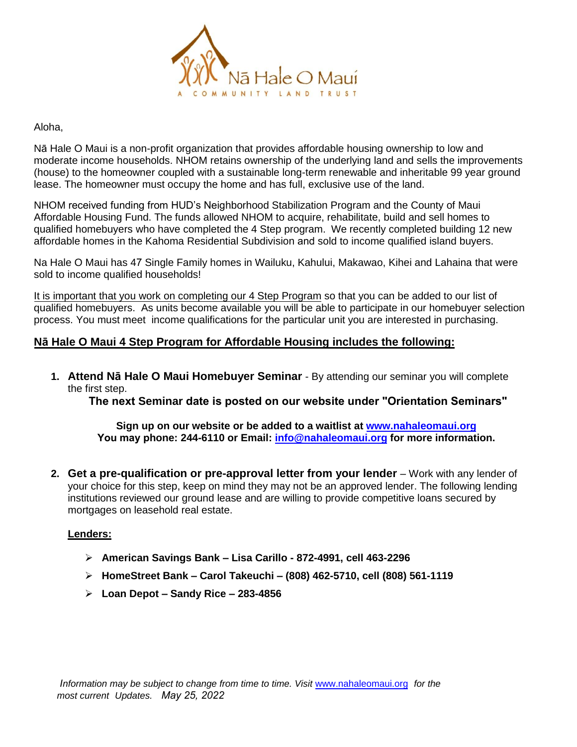

#### Aloha,

Nā Hale O Maui is a non-profit organization that provides affordable housing ownership to low and moderate income households. NHOM retains ownership of the underlying land and sells the improvements (house) to the homeowner coupled with a sustainable long-term renewable and inheritable 99 year ground lease. The homeowner must occupy the home and has full, exclusive use of the land.

NHOM received funding from HUD's Neighborhood Stabilization Program and the County of Maui Affordable Housing Fund. The funds allowed NHOM to acquire, rehabilitate, build and sell homes to qualified homebuyers who have completed the 4 Step program. We recently completed building 12 new affordable homes in the Kahoma Residential Subdivision and sold to income qualified island buyers.

Na Hale O Maui has 47 Single Family homes in Wailuku, Kahului, Makawao, Kihei and Lahaina that were sold to income qualified households!

It is important that you work on completing our 4 Step Program so that you can be added to our list of qualified homebuyers. As units become available you will be able to participate in our homebuyer selection process. You must meet income qualifications for the particular unit you are interested in purchasing.

## **Nā Hale O Maui 4 Step Program for Affordable Housing includes the following:**

**1. Attend Nā Hale O Maui Homebuyer Seminar** - By attending our seminar you will complete the first step.

**The next Seminar date is posted on our website under "Orientation Seminars"**

**Sign up on our website or be added to a waitlist at [www.nahaleomaui.org](http://www.nahaleomaui.org/) You may phone: 244-6110 or Email: [info@nahaleomaui.org](mailto:info@nahaleomaui.org) for more information.**

**2. Get a pre-qualification or pre-approval letter from your lender** – Work with any lender of your choice for this step, keep on mind they may not be an approved lender. The following lending institutions reviewed our ground lease and are willing to provide competitive loans secured by mortgages on leasehold real estate.

#### **Lenders:**

- **American Savings Bank Lisa Carillo 872-4991, cell 463-2296**
- **HomeStreet Bank Carol Takeuchi (808) 462-5710, cell (808) 561-1119**
- **Loan Depot Sandy Rice – 283-4856**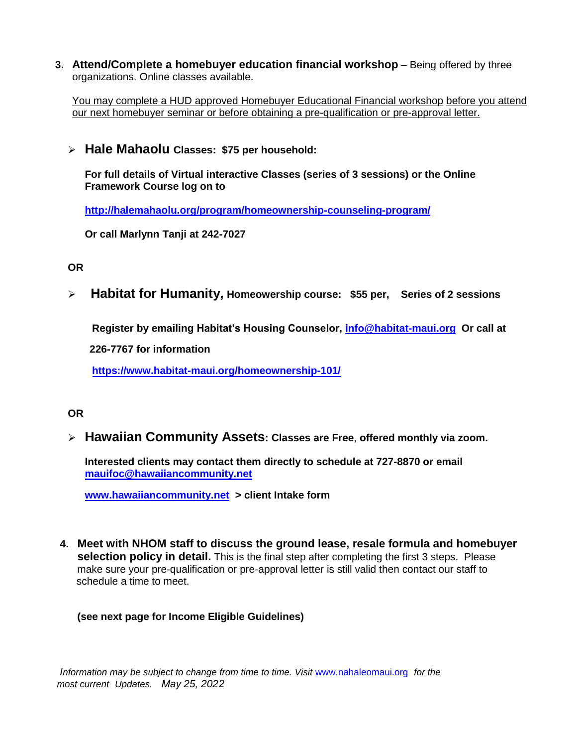**3. Attend/Complete a homebuyer education financial workshop** – Being offered by three organizations. Online classes available.

You may complete a HUD approved Homebuyer Educational Financial workshop before you attend our next homebuyer seminar or before obtaining a pre-qualification or pre-approval letter.

**Hale Mahaolu Classes: \$75 per household:**

**For full details of Virtual interactive Classes (series of 3 sessions) or the Online Framework Course log on to**

**<http://halemahaolu.org/program/homeownership-counseling-program/>**

**Or call Marlynn Tanji at 242-7027**

**OR**

**Habitat for Humanity, Homeowership course: \$55 per, Series of 2 sessions**

**Register by emailing Habitat's Housing Counselor, info@hab[itat-maui.org](mailto:Sophie@habitat-maui.org) Or call at** 

**226-7767 for information** 

**<https://www.habitat-maui.org/homeownership-101/>**

## **OR**

**Hawaiian Community Assets: Classes are Free**, **offered monthly via zoom.**

**Interested clients may contact them directly to schedule at 727-8870 or email [mauifoc@hawaiiancommunity.net](mailto:mauifoc@hawaiiancommunity.net)**

**[www.hawaiiancommunity.net](http://www.hawaiiancommunity.net/) > client Intake form**

**4. Meet with NHOM staff to discuss the ground lease, resale formula and homebuyer selection policy in detail.** This is the final step after completing the first 3 steps. Please make sure your pre-qualification or pre-approval letter is still valid then contact our staff to schedule a time to meet.

## **(see next page for Income Eligible Guidelines)**